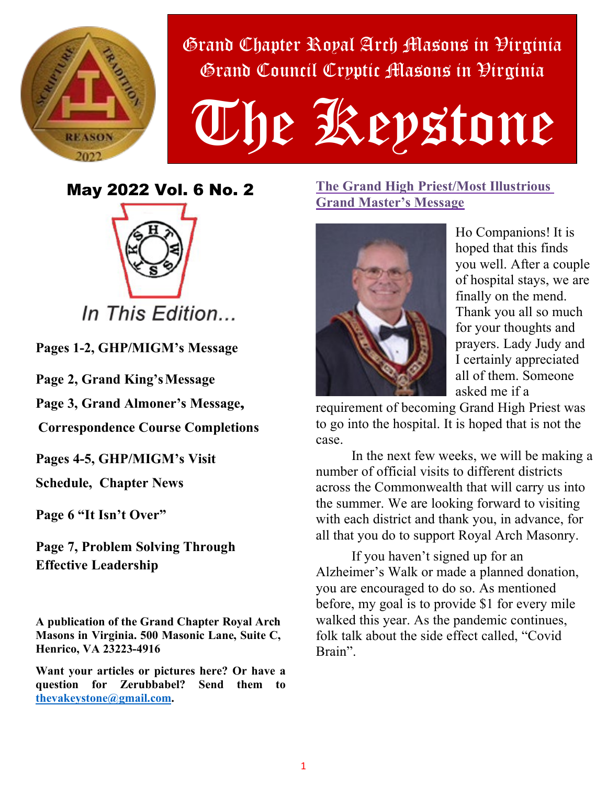

Grand Chapter Royal Arch Masons in Virginia Grand Council Cryptic Masons in Virginia

# The Kepstone

May 2022 Vol. 6 No. 2



**Pages 1-2, GHP/MIGM's Message** 

**Page 2, Grand King's Message** 

**Page 3, Grand Almoner's Message,** 

 **Correspondence Course Completions**

**Pages 4-5, GHP/MIGM's Visit**

**Schedule, Chapter News**

**Page 6 "It Isn't Over"** 

**Page 7, Problem Solving Through Effective Leadership**

**A publication of the Grand Chapter Royal Arch Masons in Virginia. 500 Masonic Lane, Suite C, Henrico, VA 23223-4916** 

**Want your articles or pictures here? Or have a question for Zerubbabel? Send them to thevakeystone@gmail.com.** 

## **The Grand High Priest/Most Illustrious Grand Master's Message**



Ho Companions! It is hoped that this finds you well. After a couple of hospital stays, we are finally on the mend. Thank you all so much for your thoughts and prayers. Lady Judy and I certainly appreciated all of them. Someone asked me if a

requirement of becoming Grand High Priest was to go into the hospital. It is hoped that is not the case.

In the next few weeks, we will be making a number of official visits to different districts across the Commonwealth that will carry us into the summer. We are looking forward to visiting with each district and thank you, in advance, for all that you do to support Royal Arch Masonry.

If you haven't signed up for an Alzheimer's Walk or made a planned donation, you are encouraged to do so. As mentioned before, my goal is to provide \$1 for every mile walked this year. As the pandemic continues, folk talk about the side effect called, "Covid Brain".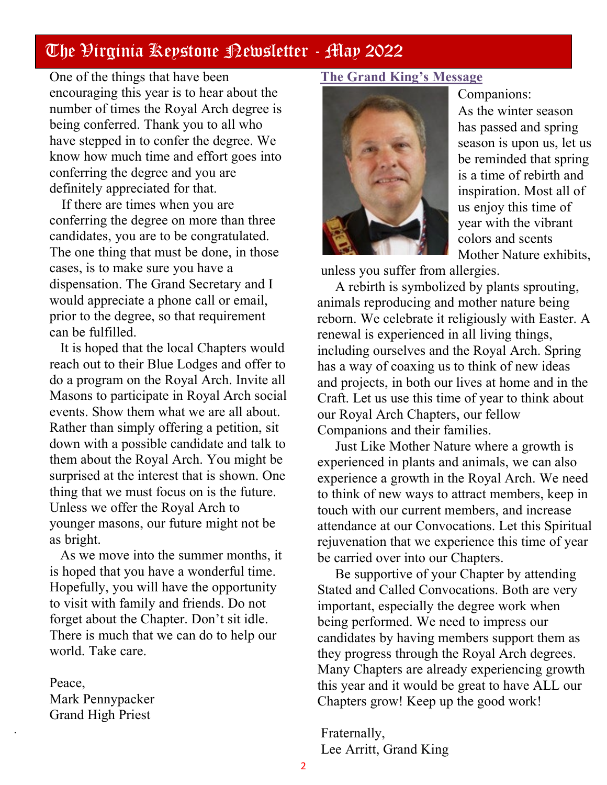One of the things that have been encouraging this year is to hear about the number of times the Royal Arch degree is being conferred. Thank you to all who have stepped in to confer the degree. We know how much time and effort goes into conferring the degree and you are definitely appreciated for that.

 If there are times when you are conferring the degree on more than three candidates, you are to be congratulated. The one thing that must be done, in those cases, is to make sure you have a dispensation. The Grand Secretary and I would appreciate a phone call or email, prior to the degree, so that requirement can be fulfilled.

 It is hoped that the local Chapters would reach out to their Blue Lodges and offer to do a program on the Royal Arch. Invite all Masons to participate in Royal Arch social events. Show them what we are all about. Rather than simply offering a petition, sit down with a possible candidate and talk to them about the Royal Arch. You might be surprised at the interest that is shown. One thing that we must focus on is the future. Unless we offer the Royal Arch to younger masons, our future might not be as bright.

 As we move into the summer months, it is hoped that you have a wonderful time. Hopefully, you will have the opportunity to visit with family and friends. Do not forget about the Chapter. Don't sit idle. There is much that we can do to help our world. Take care.

Peace, Mark Pennypacker Grand High Priest

.

### **The Grand King's Message**



Companions: As the winter season has passed and spring season is upon us, let us be reminded that spring is a time of rebirth and inspiration. Most all of us enjoy this time of year with the vibrant colors and scents Mother Nature exhibits,

unless you suffer from allergies.

A rebirth is symbolized by plants sprouting, animals reproducing and mother nature being reborn. We celebrate it religiously with Easter. A renewal is experienced in all living things, including ourselves and the Royal Arch. Spring has a way of coaxing us to think of new ideas and projects, in both our lives at home and in the Craft. Let us use this time of year to think about our Royal Arch Chapters, our fellow Companions and their families.

Just Like Mother Nature where a growth is experienced in plants and animals, we can also experience a growth in the Royal Arch. We need to think of new ways to attract members, keep in touch with our current members, and increase attendance at our Convocations. Let this Spiritual rejuvenation that we experience this time of year be carried over into our Chapters.

Be supportive of your Chapter by attending Stated and Called Convocations. Both are very important, especially the degree work when being performed. We need to impress our candidates by having members support them as they progress through the Royal Arch degrees. Many Chapters are already experiencing growth this year and it would be great to have ALL our Chapters grow! Keep up the good work!

Fraternally, Lee Arritt, Grand King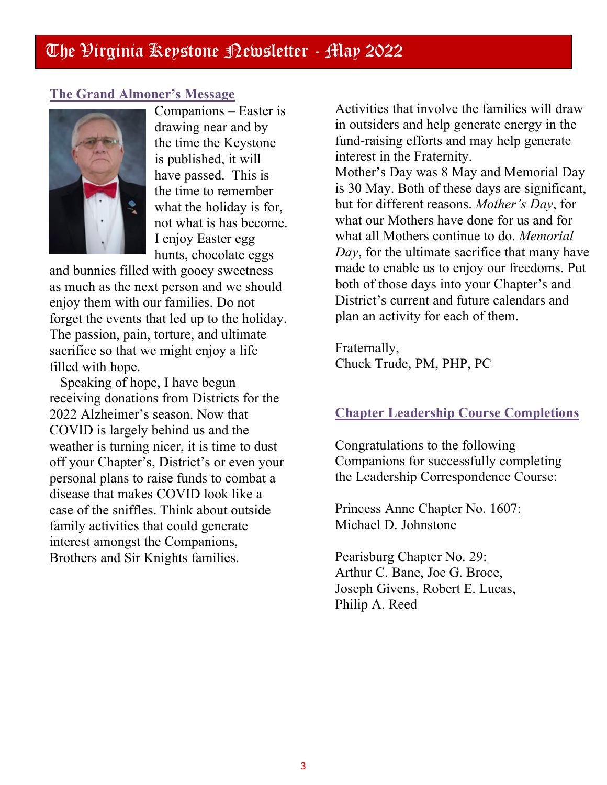#### **The Grand Almoner's Message**



Companions – Easter is drawing near and by the time the Keystone is published, it will have passed. This is the time to remember what the holiday is for, not what is has become. I enjoy Easter egg hunts, chocolate eggs

and bunnies filled with gooey sweetness as much as the next person and we should enjoy them with our families. Do not forget the events that led up to the holiday. The passion, pain, torture, and ultimate sacrifice so that we might enjoy a life filled with hope.

 Speaking of hope, I have begun receiving donations from Districts for the 2022 Alzheimer's season. Now that COVID is largely behind us and the weather is turning nicer, it is time to dust off your Chapter's, District's or even your personal plans to raise funds to combat a disease that makes COVID look like a case of the sniffles. Think about outside family activities that could generate interest amongst the Companions, Brothers and Sir Knights families.

Activities that involve the families will draw in outsiders and help generate energy in the fund-raising efforts and may help generate interest in the Fraternity.

Mother's Day was 8 May and Memorial Day is 30 May. Both of these days are significant, but for different reasons. *Mother's Day*, for what our Mothers have done for us and for what all Mothers continue to do. *Memorial Day*, for the ultimate sacrifice that many have made to enable us to enjoy our freedoms. Put both of those days into your Chapter's and District's current and future calendars and plan an activity for each of them.

Fraternally, Chuck Trude, PM, PHP, PC

#### **Chapter Leadership Course Completions**

Congratulations to the following Companions for successfully completing the Leadership Correspondence Course:

Princess Anne Chapter No. 1607: Michael D. Johnstone

Pearisburg Chapter No. 29: Arthur C. Bane, Joe G. Broce, Joseph Givens, Robert E. Lucas, Philip A. Reed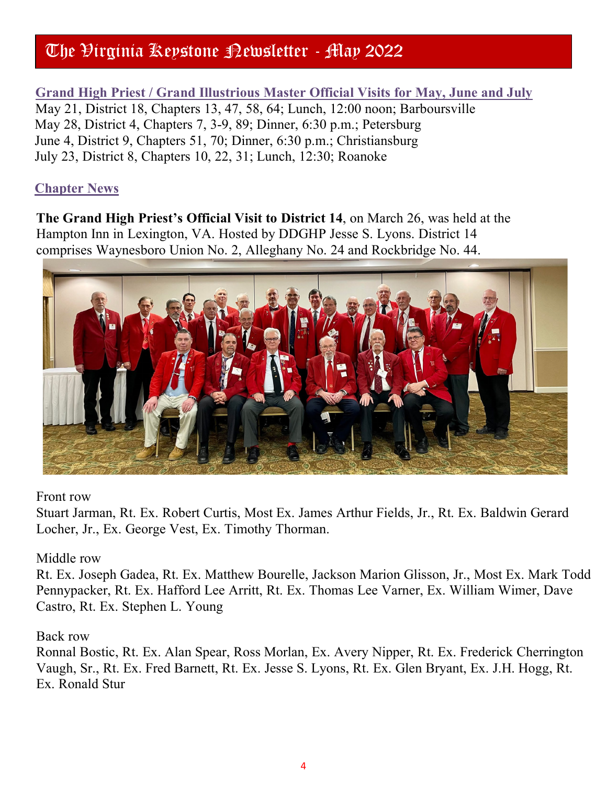**Grand High Priest / Grand Illustrious Master Official Visits for May, June and July** May 21, District 18, Chapters 13, 47, 58, 64; Lunch, 12:00 noon; Barboursville May 28, District 4, Chapters 7, 3-9, 89; Dinner, 6:30 p.m.; Petersburg June 4, District 9, Chapters 51, 70; Dinner, 6:30 p.m.; Christiansburg July 23, District 8, Chapters 10, 22, 31; Lunch, 12:30; Roanoke

# **Chapter News**

**The Grand High Priest's Official Visit to District 14**, on March 26, was held at the Hampton Inn in Lexington, VA. Hosted by DDGHP Jesse S. Lyons. District 14 comprises Waynesboro Union No. 2, Alleghany No. 24 and Rockbridge No. 44.



#### Front row

Stuart Jarman, Rt. Ex. Robert Curtis, Most Ex. James Arthur Fields, Jr., Rt. Ex. Baldwin Gerard Locher, Jr., Ex. George Vest, Ex. Timothy Thorman.

## Middle row

Rt. Ex. Joseph Gadea, Rt. Ex. Matthew Bourelle, Jackson Marion Glisson, Jr., Most Ex. Mark Todd Pennypacker, Rt. Ex. Hafford Lee Arritt, Rt. Ex. Thomas Lee Varner, Ex. William Wimer, Dave Castro, Rt. Ex. Stephen L. Young

## Back row

Ronnal Bostic, Rt. Ex. Alan Spear, Ross Morlan, Ex. Avery Nipper, Rt. Ex. Frederick Cherrington Vaugh, Sr., Rt. Ex. Fred Barnett, Rt. Ex. Jesse S. Lyons, Rt. Ex. Glen Bryant, Ex. J.H. Hogg, Rt. Ex. Ronald Stur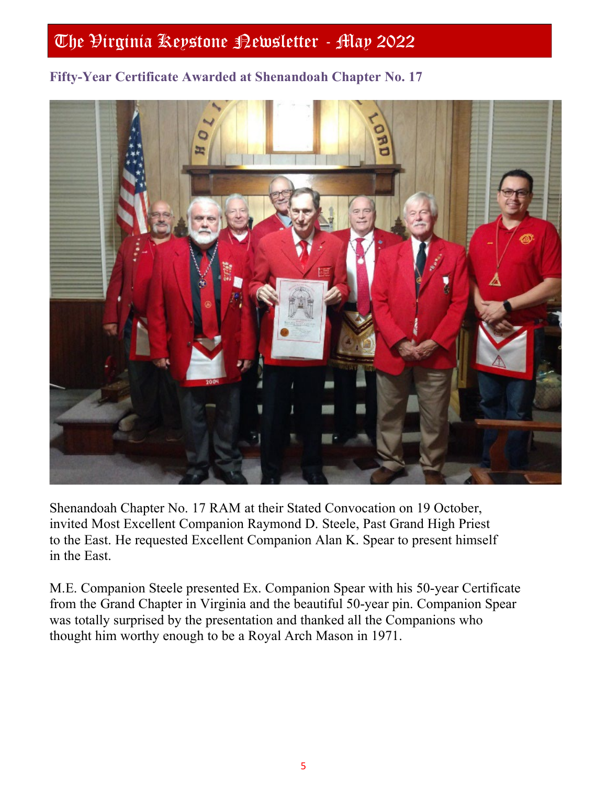## **Fifty-Year Certificate Awarded at Shenandoah Chapter No. 17**



Shenandoah Chapter No. 17 RAM at their Stated Convocation on 19 October, invited Most Excellent Companion Raymond D. Steele, Past Grand High Priest to the East. He requested Excellent Companion Alan K. Spear to present himself in the East.

M.E. Companion Steele presented Ex. Companion Spear with his 50-year Certificate from the Grand Chapter in Virginia and the beautiful 50-year pin. Companion Spear was totally surprised by the presentation and thanked all the Companions who thought him worthy enough to be a Royal Arch Mason in 1971.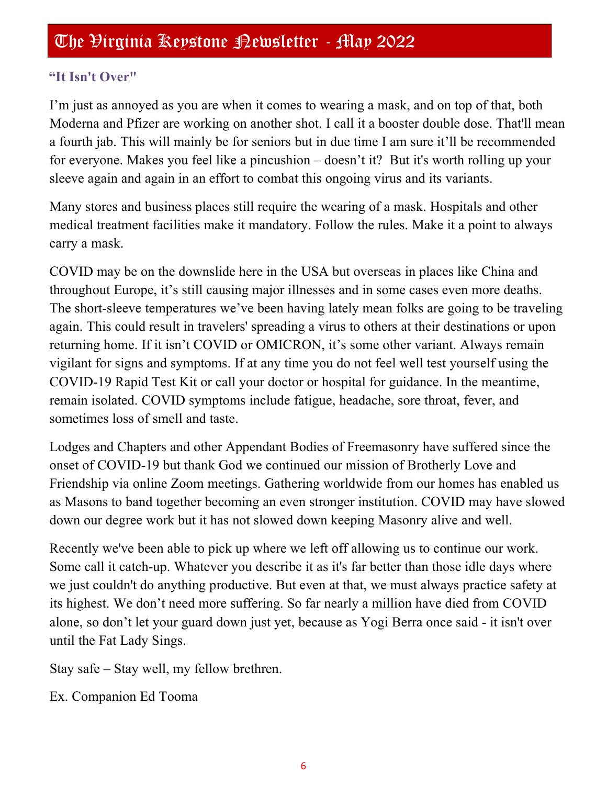# **"It Isn't Over"**

I'm just as annoyed as you are when it comes to wearing a mask, and on top of that, both Moderna and Pfizer are working on another shot. I call it a booster double dose. That'll mean a fourth jab. This will mainly be for seniors but in due time I am sure it'll be recommended for everyone. Makes you feel like a pincushion – doesn't it? But it's worth rolling up your sleeve again and again in an effort to combat this ongoing virus and its variants.

Many stores and business places still require the wearing of a mask. Hospitals and other medical treatment facilities make it mandatory. Follow the rules. Make it a point to always carry a mask.

COVID may be on the downslide here in the USA but overseas in places like China and throughout Europe, it's still causing major illnesses and in some cases even more deaths. The short-sleeve temperatures we've been having lately mean folks are going to be traveling again. This could result in travelers' spreading a virus to others at their destinations or upon returning home. If it isn't COVID or OMICRON, it's some other variant. Always remain vigilant for signs and symptoms. If at any time you do not feel well test yourself using the COVID-19 Rapid Test Kit or call your doctor or hospital for guidance. In the meantime, remain isolated. COVID symptoms include fatigue, headache, sore throat, fever, and sometimes loss of smell and taste.

Lodges and Chapters and other Appendant Bodies of Freemasonry have suffered since the onset of COVID-19 but thank God we continued our mission of Brotherly Love and Friendship via online Zoom meetings. Gathering worldwide from our homes has enabled us as Masons to band together becoming an even stronger institution. COVID may have slowed down our degree work but it has not slowed down keeping Masonry alive and well.

Recently we've been able to pick up where we left off allowing us to continue our work. Some call it catch-up. Whatever you describe it as it's far better than those idle days where we just couldn't do anything productive. But even at that, we must always practice safety at its highest. We don't need more suffering. So far nearly a million have died from COVID alone, so don't let your guard down just yet, because as Yogi Berra once said - it isn't over until the Fat Lady Sings.

Stay safe – Stay well, my fellow brethren.

Ex. Companion Ed Tooma